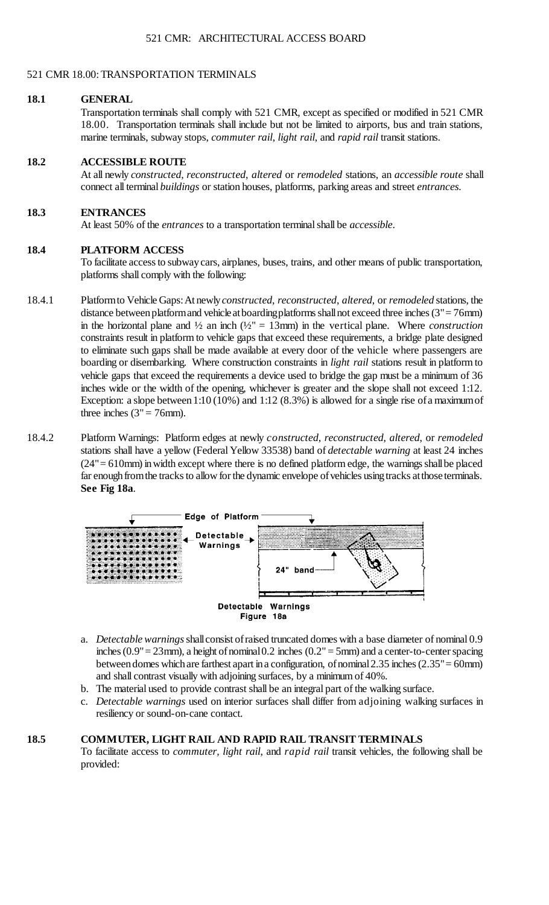#### 521 CMR 18.00: TRANSPORTATION TERMINALS

#### **18.1 GENERAL**

 Transportation terminals shall comply with 521 CMR, except as specified or modified in 521 CMR 18.00. Transportation terminals shall include but not be limited to airports, bus and train stations, marine terminals, subway stops, *commuter rail*, *light rail*, and *rapid rail* transit stations.

### **18.2 ACCESSIBLE ROUTE**

At all newly *constructed*, *reconstructed*, *altered* or *remodeled* stations, an *accessible route* shall connect all terminal *buildings* or station houses, platforms, parking areas and street *entrances*.

# **18.3 ENTRANCES**

At least 50% of the *entrances* to a transportation terminal shall be *accessible*.

### **18.4 PLATFORM ACCESS**

 To facilitate access to subway cars, airplanes, buses, trains, and other means of public transportation, platforms shall comply with the following:

- distance between platform and vehicle atboardingplatforms shall not exceed three inches (3" = 76mm) boarding or disembarking. Where construction constraints in *light rail* stations result in platform to vehicle gaps that exceed the requirements a device used to bridge the gap must be a minimum of 36 Exception: a slope between 1:10 (10%) and 1:12 (8.3%) is allowed for a single rise of a maximum of 18.4.1 Platform to Vehicle Gaps: At newly *constructed*, *reconstructed*, *altered*, or *remodeled* stations, the in the horizontal plane and  $\frac{1}{2}$  an inch  $(\frac{1}{2})^n = 13$  mm in the vertical plane. Where *construction* constraints result in platform to vehicle gaps that exceed these requirements, a bridge plate designed to eliminate such gaps shall be made available at every door of the vehicle where passengers are inches wide or the width of the opening, whichever is greater and the slope shall not exceed 1:12. three inches  $(3" = 76$ mm).
- stations shall have a yellow (Federal Yellow 33538) band of *detectable warning* at least 24 inches  $(24" = 610$ mm) in width except where there is no defined platform edge, the warnings shall be placed 18.4.2 Platform Warnings: Platform edges at newly *constructed*, *reconstructed*, *altered*, or *remodeled*  far enough from the tracks to allow for the dynamic envelope of vehicles using tracks atthose terminals. **See Fig 18a**.



- a. *Detectable warnings* shall consist of raised truncated domes with a base diameter of nominal 0.9 inches (0.9" = 23mm), a height of nominal 0.2 inches (0.2" = 5mm) and a center-to-center spacing between domes which are farthest apart in a configuration, of nominal  $2.35$  inches  $(2.35" = 60$ mm) and shall contrast visually with adjoining surfaces, by a minimum of 40%.
- b. The material used to provide contrast shall be an integral part of the walking surface.
- c. *Detectable warnings* used on interior surfaces shall differ from adjoining walking surfaces in resiliency or sound-on-cane contact.

# **18.5 COMMUTER, LIGHT RAIL AND RAPID RAIL TRANSIT TERMINALS**

To facilitate access to *commuter, light rail*, and *rapid rail* transit vehicles, the following shall be provided: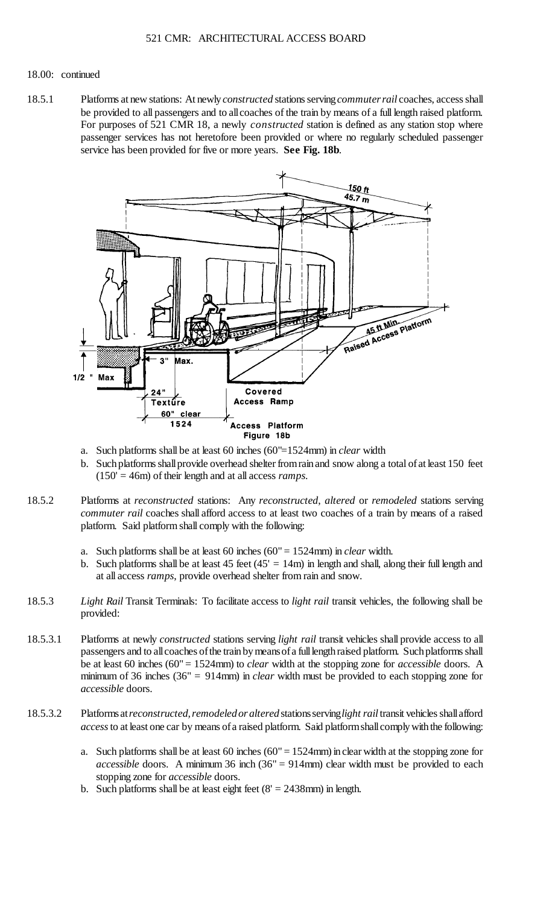#### 18.00: continued

 be provided to all passengers and to allcoaches of the train by means of a full length raised platform. 18.5.1 Platforms at new stations: At newly *constructed* stations serving *commuter rail* coaches, access shall For purposes of 521 CMR 18, a newly *constructed* station is defined as any station stop where passenger services has not heretofore been provided or where no regularly scheduled passenger service has been provided for five or more years. **See Fig. 18b**.



- a. Such platforms shall be at least 60 inches (60"=1524mm) in *clear* width
- b. Such platforms shall provide overhead shelter from rain and snow along a total of at least 150 feet (150' = 46m) of their length and at all access *ramps*.
- 18.5.2 Platforms at *reconstructed* stations: Any *reconstructed*, *altered* or *remodeled* stations serving *commuter rail* coaches shall afford access to at least two coaches of a train by means of a raised platform. Said platform shall comply with the following:
	- a. Such platforms shall be at least 60 inches (60" = 1524mm) in *clear* width.
	- b. Such platforms shall be at least  $45$  feet ( $45' = 14$ m) in length and shall, along their full length and at all access *ramps*, provide overhead shelter from rain and snow.
- 18.5.3 *Light Rail* Transit Terminals: To facilitate access to *light rail* transit vehicles, the following shall be provided:
- minimum of 36 inches (36" = 914mm) in *clear* width must be provided to each stopping zone for 18.5.3.1 Platforms at newly *constructed* stations serving *light rail* transit vehicles shall provide access to all passengers and to all coaches of the train by means of a full length raised platform. Such platforms shall be at least 60 inches (60" = 1524mm) to *clear* width at the stopping zone for *accessible* doors. A *accessible* doors.
- *access* to at least one car by means of a raised platform. Said platform shall comply with the following: 18.5.3.2 Platforms at *reconstructed, remodeled or altered* stations serving*light rail* transit vehicles shall afford
	- a. Such platforms shall be at least 60 inches (60" = 1524mm) in clear width at the stopping zone for *accessible* doors. A minimum 36 inch (36" = 914mm) clear width must be provided to each stopping zone for *accessible* doors.
	- b. Such platforms shall be at least eight feet  $(8' = 2438$ mm) in length.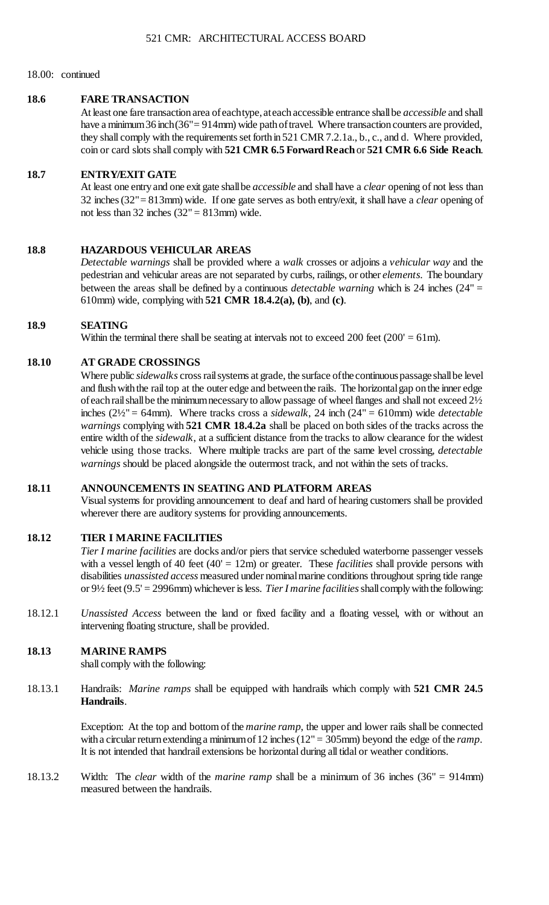### 18.00: continued

### **18.6 FARE TRANSACTION**

 At least one fare transaction area of eachtype, ateach accessible entrance shall be *accessible* and shall have a minimum 36 inch (36" = 914mm) wide path of travel. Where transaction counters are provided, they shall comply with the requirements set forth in 521 CMR 7.2.1a., b., c., and d. Where provided, coin or card slots shall comply with **521 CMR 6.5 Forward Reach** or **521 CMR 6.6 Side Reach**.

### **18.7 ENTRY/EXIT GATE**

 At least one entry and one exit gate shall be *accessible* and shall have a *clear* opening of not less than 32 inches (32"= 813mm) wide. If one gate serves as both entry/exit, it shall have a *clear* opening of not less than  $32$  inches  $(32" = 813$ mm) wide.

## **18.8 HAZARDOUS VEHICULAR AREAS**

 pedestrian and vehicular areas are not separated by curbs, railings, or other *elements*. The boundary between the areas shall be defined by a continuous *detectable warning* which is 24 inches (24" = *Detectable warnings* shall be provided where a *walk* crosses or adjoins a *vehicular way* and the 610mm) wide, complying with **521 CMR 18.4.2(a), (b)**, and **(c)**.

# **18.9 SEATING**

Within the terminal there shall be seating at intervals not to exceed 200 feet  $(200' = 61m)$ .

### **18.10 AT GRADE CROSSINGS**

 and flush with the rail top at the outer edge and between the rails. The horizontal gap on the inner edge of each rail shall be the minimum necessary to allow passage of wheel flanges and shall not exceed 2½ *warnings* complying with **521 CMR 18.4.2a** shall be placed on both sides of the tracks across the Where public *sidewalks* cross rail systems at grade, the surface ofthe continuous passage shall be level inches (2½" = 64mm). Where tracks cross a *sidewalk*, 24 inch (24" = 610mm) wide *detectable*  entire width of the *sidewalk*, at a sufficient distance from the tracks to allow clearance for the widest vehicle using those tracks. Where multiple tracks are part of the same level crossing, *detectable warnings* should be placed alongside the outermost track, and not within the sets of tracks.

# **18.11 ANNOUNCEMENTS IN SEATING AND PLATFORM AREAS**

 Visual systems for providing announcement to deaf and hard of hearing customers shall be provided wherever there are auditory systems for providing announcements.

# **18.12 TIER I MARINE FACILITIES**

 disabilities *unassisted access* measured under nominal marine conditions throughout spring tide range *Tier I marine facilities* are docks and/or piers that service scheduled waterborne passenger vessels with a vessel length of 40 feet  $(40' = 12m)$  or greater. These *facilities* shall provide persons with or 9½ feet (9.5' = 2996mm) whichever is less. *Tier I marine facilities* shall comply with the following:

18.12.1 *Unassisted Access* between the land or fixed facility and a floating vessel, with or without an intervening floating structure, shall be provided.

## **18.13 MARINE RAMPS**

shall comply with the following:

 18.13.1 Handrails: *Marine ramps* shall be equipped with handrails which comply with **521 CMR 24.5 Handrails**.

> with a circular return extending a minimum of 12 inches (12" = 305mm) beyond the edge of the *ramp*. Exception: At the top and bottom of the *marine ramp*, the upper and lower rails shall be connected It is not intended that handrail extensions be horizontal during all tidal or weather conditions.

18.13.2 Width: The *clear* width of the *marine ramp* shall be a minimum of 36 inches (36" = 914mm) measured between the handrails.